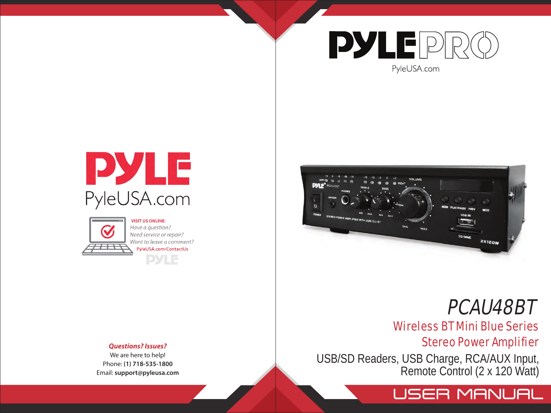

PyleUSA.com





**VISIT US ONLINE:** Have a question? Need service or repair? Want to leave a comment? PyleUSA.com/ContactUs **PYLE** 



# PCAU48BT

# Wireless BT Mini Blue Series

Stereo Power Amplifier

USB/SD Readers, USB Charge, RCA/AUX Input, Remote Control (2 x 120 Watt)



*Questions? Issues?*

We are here to help! Phone: **(1) 718-535-1800** Email: **support@pyleusa.com**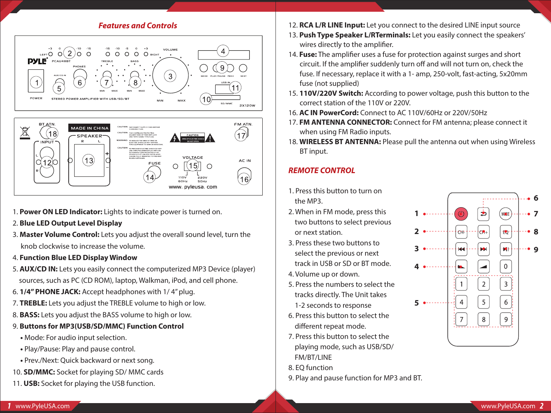#### *Features and Controls*



- 1. **Power ON LED Indicator:** Lights to indicate power is turned on.
- 2. **Blue LED Output Level Display**
- 3. **Master Volume Control:** Lets you adjust the overall sound level, turn the knob clockwise to increase the volume.
- 4. **Function Blue LED Display Window**
- 5. **AUX/CD IN:** Lets you easily connect the computerized MP3 Device (player) sources, such as PC (CD ROM), laptop, Walkman, iPod, and cell phone.
- 6. **1/4" PHONE JACK:** Accept headphones with 1/ 4" plug.
- 7. **TREBLE:** Lets you adjust the TREBLE volume to high or low.
- 8. **BASS:** Lets you adjust the BASS volume to high or low.
- 9. **Buttons for MP3(USB/SD/MMC) Function Control**
	- Mode: For audio input selection.
	- Play/Pause: Play and pause control.
- Prev./Next: Quick backward or next song.
- 10. **SD/MMC:** Socket for playing SD/ MMC cards
- 11. **USB:** Socket for playing the USB function.
- 12. **RCA L/R LINE Input:** Let you connect to the desired LINE input source
- 13. **Push Type Speaker L/RTerminals:** Let you easily connect the speakers' wires directly to the amplifier.
- 14. **Fuse:** The amplifier uses a fuse for protection against surges and short circuit. If the amplifier suddenly turn off and will not turn on, check the fuse. If necessary, replace it with a 1- amp, 250-volt, fast-acting, 5x20mm fuse (not supplied)
- 15. **110V/220V Switch:** According to power voltage, push this button to the correct station of the 110V or 220V.
- 16. **AC IN PowerCord:** Connect to AC 110V/60Hz or 220V/50Hz
- 17. **FM ANTENNA CONNECTOR:** Connect for FM antenna; please connect it when using FM Radio inputs.
- 18. **WIRELESS BT ANTENNA:** Please pull the antenna out when using Wireless BT input.

# *REMOTE CONTROL*

- 1. Press this button to turn on the MP3.
- 2. When in FM mode, press this two buttons to select previous or next station.
- 3. Press these two buttons to select the previous or next track in USB or SD or BT mode.
- 4. Volume up or down.
- 5. Press the numbers to select the tracks directly. The Unit takes 1-2 seconds to response
- 6. Press this button to select the different repeat mode.
- 7. Press this button to select the playing mode, such as USB/SD/ FM/RT/LINF
- 8. EQ function
- 9. Play and pause function for MP3 and BT.